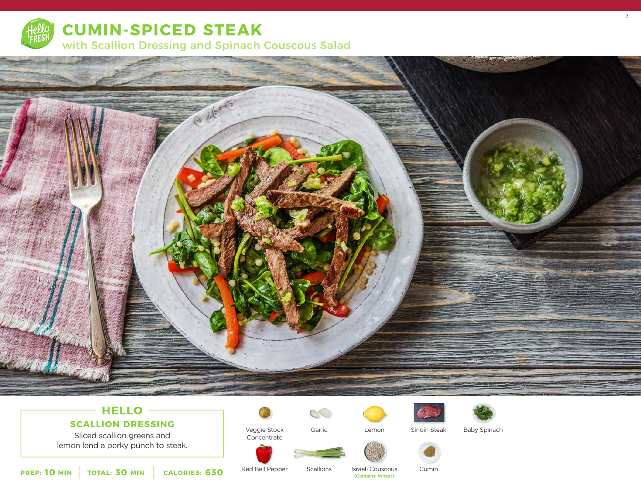

**CUMIN-SPICED STEAK** 

with Scallion Dressing and Spinach Couscous Salad



# **HELLO**

**SCALLION DRESSING**

Sliced scallion greens and lemon lend a perky punch to steak.



Veggie Stock Concentrate

Garlic

 $\mathcal{C}$ 





Lemon Sirloin Steak Baby Spinach

2



**10** MIN | TOTAL: 30 MIN | CALORIES: 630

Red Bell Pepper

Scallions (Contains: Wheat) Cumin

Israeli Couscous